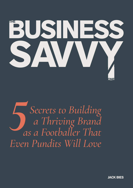

*Secrets to Building a Thriving Brand as a Footballer That Even Pundits Will Love 5*

**JACK BIES**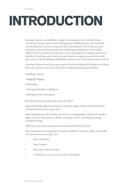## **INTRODUCTION**

Starting a business as a footballer is tough. I'm not going to lie, it's tricky. If you're considering starting a business after finishing your footballing career, you're probably worried about how to start or what your club and teammates will say. You may have a fantastic, innovative business idea that could bring something new to the market. Maybe you have excellent taste and want to start a clothing line or property investment portfolio. Or, perhaps, you've already set up a business to support you and your family once you leave the footballing world behind, and just want to take things to the next level.

Growing a business these days requires precise decision making, bold ambition, and sharp focus. You may have even tried some of these smaller business initiatives before:

- Building a website
- Blogging/Vlogging
- Podcasting
- Chatting with folks on Clubhouse
- Sharing your life on Instagram

But that hasn't got you when you want to be, has it?

You're reading this right now because, in some way, shape, or form, your business idea or brand isn't where you want it to be.

You've probably put a lot of energy into this new, exciting project. Hard work, sleepless nights, anxieties, questions over whether it's going to work… pushing and pushing to build this thing.

All because you want to express your passion outside of football. True?

Your commitment to your project is entirely worthwhile. You know, rightly so, that this new business of yours can give you:

- More satisfaction
- More freedom
- More time with your family
- A solid plan to use your time wisely and fruitfully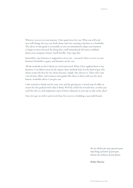Wherever you are on your journey, I have good news for you. What you will read next will change the way you think about and view running a business as a footballer. The advice in this guide is actionable so you can immediately adapt your business to begin to move forward. By doing this, you'll immediately feel more confident about your company's future. You'll feel like: 'Yep, I got this'.

Remember, your business is supposed to serve you – you aren't there to serve to your business! Football is a game, and business can be, too.

All the methods in this E-Book are tried and tested. When I first applied them to my business, I was blown away by the impact these methods had. I'm the kind of guy who always wants the best for my clients because, simply, they deserve it. That's why I put a lot of time, effort, and resources into guides like these to share with you the most honest, workable advice I can give you.

I also wanted to thank you for your trust and for getting me a virtual cup of coffee in return for this packed-with-value E-Book. We'll do a little bit of work here, so don't just read this, but try and implement some of these solutions in your day-to-day work, okay?

Now, let's get on with it and reveal these five secrets to building a successful brand…

*We are all here for some special reason. Stop being a prisoner of your past. Become the architect of your future.* 

**Robin Sharma**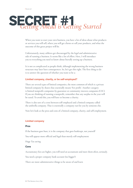

When you want to start your own business, you have a lot of ideas about what products or services you will sell, where you will get clients or sell your products, and what the outcome of this great project will be.

Unfortunately, many athletes get discouraged by the legal and administrative side of running a business. It seems like a lot of effort. Here, I will introduce you to everything you need to know about literally setting up a business.

It is not as complicated as people think, although implementing the wrong business structure may later have consequences. So, let's get this right. The first thing to do is to answer the question of whether you want to be a:

### **Limited company, charity, or be self-employed?**

There are several types of limited companies, the most common of which is a private limited company by shares that essentially means 'For profit'. Another category is limited nonprofit companies by guarantee or community interest companies (CIC). If you are thinking of running a nonprofit, remember that any surplus in the year will be taxed. To avoid this, you will have to become a charity.

There is also sort of a cross between self-employed and a limited company called the umbrella company. That is essentially a company run for you by someone else.

Now let's look at the pros and cons of a limited company, charity, and self-employment.

### **Limited company**

### **Pros**

If the business goes bust, it is the company that goes bankrupt, not yourself

You will appear more official and legal than merely self-employment

Huge Tax saving

### **Cons**

Accountancy fees are higher, you will need an accountant and meet them often, seriously.

You need a proper company bank account (no biggie!)

There are more administrative things to be aware of and learn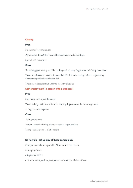### **Charity**

### **Pros**

No income/corporation tax

Pay no more than 20% of normal business rates on the buildings

Special VAT treatment

### **Cons**

If anything goes wrong, you'll be dealing with Charity Regulators and Companies House

You're not allowed to receive financial benefits from the charity unless the governing document specifically authorises this

There are strict rules that apply to trade by charities

### **Self-employment (a person with a business)**

### **Pros**

Super easy to set up and manage

You can always switch to a limited company. It gets messy the other way round

Savings on some expenses

### **Cons**

Paying more taxes

Harder to work with big clients or attract larger projects

Your personal assets could be at risk

### **So how do I set up any of these companies?**

Companies can be set up within 24 hours. You just need a:

- Company Name
- Registered Office
- Director name, address, occupation, nationality and date of birth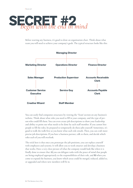

Before starting any business, it's good to draw an organisation chart. Think about what team you will need to achieve your company's goals. The typical structure looks like this:



You can easily find companies structures by viewing the 'Team' section on any business's website. Think about what roles you need to fill in your company, and the type of person who could fill them. You can even create job descriptions to show your leadership and ability to point out what needs to be done by each staff member. If you cannot hire people to fill the roles, be prepared to temporarily do these jobs yourself. Sometimes, it's good to walk the walk first so you know what each role entails. Then, you can craft more precise job descriptions. If you have a business partner, talk to them, and decide which roles each of you will overlook.

The trick here is that once you prototype the job positions, you can replace yourself with employees and systems. It will allow you to work smarter and develop a business that works. Have a very clear picture of what the company would look like when it is finally done to ensure that **A)** you can delegate tasks with the peace of mind that people are being employed appropriately to the responsibilities of their role, and **B)** when you come to expand the business, you know which areas could be merged, reduced, added to, or upgraded and where new members will fit in.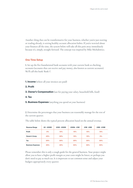Another thing that can be transformative for your business, whether you're just starting or trading already, is setting healthy account allocation habits. If you're worried about your finances all the time, the system below will take all this pain away immediately because it's, simply, straight forward. The concept was inspired by Mike Michalowicz.

### **One Time Setup**

**1.** Set up the five foundational bank accounts with your current bank as checking accounts (accounts that can receive and pay money, also known as current accounts). We'll call this bank 'Bank 1'.

- **1. Income** (where all your invoices are paid)
- **2. Profit**
- **3. Owner's Compensation** (use for paying your salary, household bills, food)
- **4. Tax**
- **5. Business Expenses** (anything you spend on your business)

**2.** Determine the percentages that your business can reasonably manage for the rest of the current quarter.

The table below shows the typical percent allocation based on the annual revenue.

| <b>Revenue Range</b>     | £0 - £200K | £200 - £500K | £500k - £1M | $£1M - £5M$ | £5M - £10M |
|--------------------------|------------|--------------|-------------|-------------|------------|
| <b>Profit</b>            | 5%         | 10%          | 15%         | 10%         | <b>15%</b> |
| <b>Owner's Comp</b>      | 45%        | 30%          | 15%         | 10%         | 5%         |
| Tax                      | 20%        | 20%          | 20%         | 20%         | 20%        |
| <b>Business Expenses</b> | 30%        | 40%          | 50%         | 60%         | 60%        |

Please remember this is only a rough guide for the general business. Your project might allow you to have a higher profit margin as your costs might be lower, or perhaps you don't need to pay as much tax. It is important to use common sense and adjust your budgets appropriately every quarter.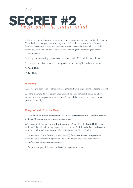

Also, make sure to choose an open-minded accountant as some may not like this system. They'll tell you that you cannot specify your profit unless you know the difference between the amount earned and the amount spent in your business. That basically means pay everyone else, and if you're lucky, there might be something left for you. That's not cool.

**3.** Set up two new savings accounts at a different bank: We'll call this bank 'Bank 2'.

The purpose here is to remove the temptation of 'borrowing' from these accounts.

### **1. Profit Hold**

**2. Tax Hold**

### **Every Day**

**1**. All receipts from sales or other business generated revenue go into the **Income** account.

**2.** Spend a minute daily to review your account balances at 'Bank 1' to see cash flow trends for the key aspects of your business. That's all the time you need to see where you are financially!

### Every 10<sup>th</sup> and 25<sup>th</sup> of the Month

**1.** Transfer all funds that have accumulated in the **Income** account to the other accounts at 'Bank 1' based on the percentage you are using.

**2.** Transfer all the money in your **Profit** account at 'Bank 1' to the **Profit Hold** account at 'Bank 2'. Transfer all money in your **Tax** account at 'Bank 1' to the **Tax Hold** account at 'Bank 2'. This will leave a £0.00 balance for **Profit** and **Tax** at 'Bank 1'.

**3.** Disburse the salaries for the business owner(s) from the **Owner's Compensation** account. Leave any remaining money, above and beyond the salary distribution, in the **Owner's Compensation** account.

**4.** Pay your company bills from the **Business Expenses** account.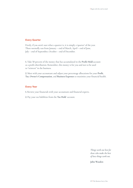### **Every Quarter**

Firstly, if you aren't sure what a quarter is, it is simply a 'quarter' of the year. These normally run from January – end of March, April – end of June, July – end of September, October – end of December.

**1.** Take 50 percent of the money that has accumulated in the **Profit Hold** account as a profit distribution. Remember, this money is for you and not to be used to "reinvest" in the business.

**2.** Meet with your accountant and adjust your percentage allocations for your **Profit**, **Tax**, **Owner's Compensation**, and **Business Expenses** to maximise your financial health.

### **Every Year**

**1.** Review your financials with your accountant and financial experts.

**2.** Pay your tax liabilities from the **Tax Hold** account.

*Things work out best for those who make the best of how things work out.*

**John Wooden**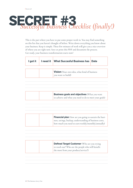

This is the part where you have to put some proper work in. You may find something on this list that you haven't thought of before. Write down everything you know about your business. Keep it simple. These few minutes of work will give you a nice overview of where you are right now. Save or print this PDF and document the process. Get ready, your business transformation starts now!

| I got it | I need it | <b>What Succesful Business has</b>                                                                                                                                            | <b>Date</b> |
|----------|-----------|-------------------------------------------------------------------------------------------------------------------------------------------------------------------------------|-------------|
|          |           |                                                                                                                                                                               |             |
|          |           | Vision (Your own idea, what kind of business<br>you want to build)                                                                                                            |             |
|          |           |                                                                                                                                                                               |             |
|          |           |                                                                                                                                                                               |             |
|          |           |                                                                                                                                                                               |             |
|          |           |                                                                                                                                                                               |             |
|          |           | <b>Business goals and objectives</b> (What you want                                                                                                                           |             |
|          |           | to achieve and what you need to do to meet your goals)                                                                                                                        |             |
|          |           |                                                                                                                                                                               |             |
|          |           |                                                                                                                                                                               |             |
|          |           |                                                                                                                                                                               |             |
|          |           | <b>Financial plan</b> How are you going to sustain the busi-<br>ness, savings, backup, understanding of business costs,<br>how much you need to earn weekly/monthly/annually) |             |
|          |           |                                                                                                                                                                               |             |
|          |           |                                                                                                                                                                               |             |
|          |           |                                                                                                                                                                               |             |
|          |           |                                                                                                                                                                               |             |
|          |           | <b>Defined Target Customer</b> (Who are you trying<br>to reach out? Who are the people who will benefit<br>the most from your product/service?)                               |             |
|          |           |                                                                                                                                                                               |             |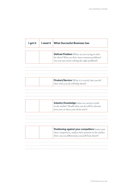| I got it | I need it | <b>What Succesful Business has</b>                                                                                                                        |
|----------|-----------|-----------------------------------------------------------------------------------------------------------------------------------------------------------|
|          |           | <b>Defined Problem</b> (What are you trying to solve<br>for them? What are their most common problems?<br>Are you sure you're solving the right problem?) |
|          |           | <b>Product/Service</b> (What is it exactly that you do?<br>How what you do will help them?)                                                               |
|          |           | <b>Industry Knowledge</b> (what are current trends                                                                                                        |
|          |           | in the market? Would what you do still be relevant<br>next year, or three years from now?)                                                                |
|          |           | Positioning against your competitors (name your<br>three competitors, analyse their position in the market.                                               |

 $\ddot{\phantom{a}}$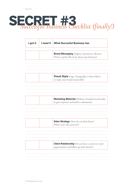# **SECRET #3** *Successful Business Checklist (finally!)*

| I got it | I need it | <b>What Succesful Business has</b>                                                                       |
|----------|-----------|----------------------------------------------------------------------------------------------------------|
|          |           | <b>Brand Messaging</b> (Tagline, Statements, Elevator<br>Pitch to speak effectively about your business) |
|          |           | Visual Style (Logo, Typography, Colour Palette                                                           |
|          |           | to make your brand memorable)                                                                            |
|          |           | <b>Marketing Materials</b> (Website, branded social media<br>to gain exposure and build a community)     |
|          |           | Sales Strategy (How do you find clients?<br>What's your sales process?)                                  |
|          |           | <b>Client Relationship</b> (Do you have a system to track<br>opportunities and follow up with clients?)  |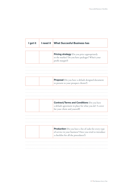| I got it | I need it | <b>What Succesful Business has</b>                                                                                  |
|----------|-----------|---------------------------------------------------------------------------------------------------------------------|
|          |           |                                                                                                                     |
|          |           | Pricing strategy (Do you price appropriately<br>to the market? Do you have packages? What's your<br>profit margin?) |
|          |           |                                                                                                                     |
|          |           | Proposal (Do you have a default designed document                                                                   |
|          |           | to present to your prospect clients?)                                                                               |
|          |           |                                                                                                                     |
|          |           | <b>Contract/Terms and Conditions (Do you have</b>                                                                   |
|          |           | a default agreement in place for what you do? A cover<br>for your client and yourself)                              |
|          |           |                                                                                                                     |
|          |           | <b>Production</b> (Do you have a list of tasks for every type                                                       |

 $\cdots$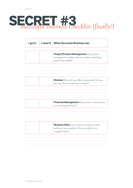# **SECRET #3** *Successful Business Checklist (finally!)*

| I got it | I need it | <b>What Succesful Business has</b>                                                                                        |
|----------|-----------|---------------------------------------------------------------------------------------------------------------------------|
|          |           | Project/Product Management (Do you have<br>management tracking software in place, something<br>better than emails?)       |
|          |           | <b>Reviews</b> (How do you collect testimonials? Do you<br>have any form to send out to clients?)                         |
|          |           | Financial Management (Do you have an accountant<br>or accounting software?)                                               |
|          |           | <b>Business Data</b> (Do you have a strategy to track<br>and know your numbers? Do you analyse it on<br>a regular basis?) |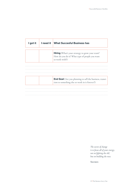| I got it | <b>I</b> need it What Succesful Business has                                                                               |
|----------|----------------------------------------------------------------------------------------------------------------------------|
|          | <b>Hiring</b> (What's your strategy to grow your team?<br>How do you do it? What type of people you want<br>to work with?) |
|          |                                                                                                                            |
|          | <b>End Goal</b> (Are you planning to sell the business, transi-<br>tion to something else or work in it forever?)          |
|          |                                                                                                                            |

*The secret of change is to focus all of your energy, not on fighting the old, but on building the new.*

**Socrates**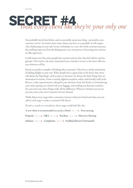

You probably heard that before, and it essentially means one thing - personalise your customer service. No matter how many clients you have, it is possible. It will require a bit of planning on your side. In my workshops, we cover the whole customer journey, but nothing stops you from developing your very own process of treating your customers like superstars.

It still amuses me that some people hate systems and say that they feel robotic and ungenuine. The truth is, the more automated your customer service is, the more effective your business will be.

Hotels are perfect examples of looking after customers. They have a whole mechanism of adding delight to your stay. When people have a great time at the hotel, they never talk about the 'big things', such as price or location. It's always the little things that are mentioned in reviews. From a warmly lighted reception, smiley and friendly staff, fresh flowers, a short questionnaire asking for your favourite food and drink, to remembering your name, giving you a hand with your luggage, and sending you discount vouchers for your next stay, these things make all the difference. Whatever business you are in, you can create your own Customer Service Manual. **Treat every client to the set of the set of the set of the set of the set of the set of the set of the set of the set of the set of the set of the set of the set of the set of the set of the set of the set of the set of** 

Think about every stage where customers interact with your brand and what you can add to each stage to make a customer's life better.

If you're a coach or a consultant, these stages could look like this:

A new client is recommended to you by a friend  $\longrightarrow$  First meeting

Proposal  $\longleftrightarrow$  Q&A  $\longleftrightarrow$  Purchase  $\longleftrightarrow$  Discovery Meeting

Solution Completion Feedback/Review/Testimonial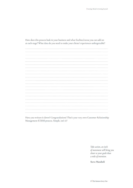How does this process look in your business and what freebies/extras you can add on at each stage? What data do you need to make your clients' experiences unforgettable?

|*Treat every client like they're your only one*

Have you written it down? Congratulations! That's your very own Customer Relationship Management (CRM) process. Simple, isn't it?

> *Take action, an inch of movement will bring you closer to your goals than a mile of intention.*

**Steve Maraboli**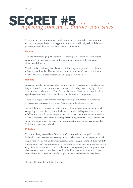

There are three main ways to successfully communicate your value: inspire, educate, or entertain people. Look at the biggest brands in the world and you'll find the same patterns, repeatedly. Here's the trick: choose your own way.

### **Inspire**

You know this messaging. The content that shows people in real-life, often heroic, situations. The transformations, the heartwarming true stories, the authenticity through and through.

Thanks to the consistency and clarity of this inspiring message and the celebration of values, your brand will become important to your potential clients. It will gain you the emotional authority that will make people trust you more.

### **Educate**

Information is the new currency. Do you know why? It's because most people are too busy to research or are not sure what they want before they make a buying decision. Everyone hates to be ripped off, so if you're like me, you'll do a little research before spending your money. This is why the role of educators is so important.

There are **6** stages of the decision-making process: **1)** Unawareness, **2)** Awareness **3)** Decision to take action, **4)** Options Assessment, **5)** Purchase, **6)** Review.

It's really hard to get a business straight to stage four because you may end up solely competing on price. Smart companies know the power of this process and put a lot of effort into the early stages. People appreciate it when you provide them something of value, especially when you're not asking for anything in return. They're more likely to be your clients when you can provide them with the answers they are looking for. This is where you can really win.

### **Entertain**

There's no theory needed here. Whether you're a footballer or not, you'll probably be familiar with the social media company, '433'. They have built an empire on social media with over 50 million followers across all platforms, generating 5 billion monthly impressions. They've done this simply by using the power of entertainment and consistency. Some of the content is not even theirs, and that's probably the best part because they've opened eyes to a whole new world of building an online community. From start they believed in a simple rule in life: 'People will like you if you make them laugh'.

If people like you, they will buy from you.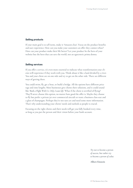### **Selling products**

If your main goal is to sell items, make it 'Amazon clear'. Focus on the product benefits and user experience. How can you make your customers an offer they cannot refuse? How can your product make their life better? Let your product be the hero of your website but the hero that can save the world, not an egocentric prima donna.

### **Selling services**

If you offer a service, it's even more essential to indicate what transformation your clients will experience if they work with you. Think about it like a land divided by a river. You and your client are on one side and try to get on the other side. There are different ways of getting there.

You could swim, fly, get a boat, or build a bridge. All the options have different price tags and time lengths. Most businesses give clients their solutions, and it could sound like '*Book a Flight With Us. Only 2 seats left.'* What if the client is terrified of flying? They'll never choose this option, no matter how good the offer is. Maybe they choose to fly but prefer a private jet over commercial aircraft or want a business class seat and a glass of champagne. Perhaps they're not sure yet and need some more information. That's why understanding your clients' needs and outlook as people is crucial.

Focusing on the right clients and their needs will get you fully booked every time, as long as you put the person and their vision before your bank account.

> *Try not to become a person of success, but rather try to become a person of value.*

**Albert Einstein**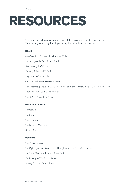### **RESOURCES**

These phenomenal resources inspired some of the concepts presented in this e-book. Put them on your reading/listening/watching list and make sure to take notes.

### **Books**

*Creativity, Inc*., Ed Catmulll with Amy Wallace *I can start your business,* Russel Smith *Built to Sell,* John Warillow *The e-Myth,* Michael E. Gerber *Profit First,* Mike Michalowicz *Create & Orchestrate,* Marcus Whitney *The Almanack of Naval Ravikant: A Guide to Wealth and Happiness,* Eric Jorgenson, Tim Ferriss *Building a StoryBrand,* Donald Miller *The Tools of Titans,* Tim Ferris

### **Films and TV series**

*The Founder The Intern The Apprentice The Pursuit of Happyness Dragon's Den*

### **Podcasts**

*The Tim Ferris Show The High Performance Podcast,* Jake Humphrey and Prof. Damian Hughes *My First Million,* Sam Parr and Shaan Puri *The Diary of a CEO,* Steven Barlett *A Bit of Optimism,* Simon Sinek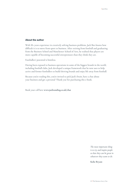### **About the author**

With 10+ years experience in creatively solving business problems, Jack Bies knows how difficult it is to move from sport to business. After retiring from football and graduating from the Business School and Manchester School of Arts, he realised that players are more capable of becoming successful entrepreneurs than they think they are.

Footballers' potential is limitless.

Having been exposed to business operations in some of the biggest brands in the world, including football clubs, Jack developed a unique framework that he now uses to help active and former footballers to build thriving brands and enjoy life away from football.

Because you're reading this, you're invited to pick Jack's brain, have a chat about your business and get a personal 'Thank you' for purchasing this e-book.

Book your call here **www.jaxbranding.co.uk/chat**

*The most important thing is to try and inspire people so that they can be great in whatever they want to do.* 

**Kobe Bryant**